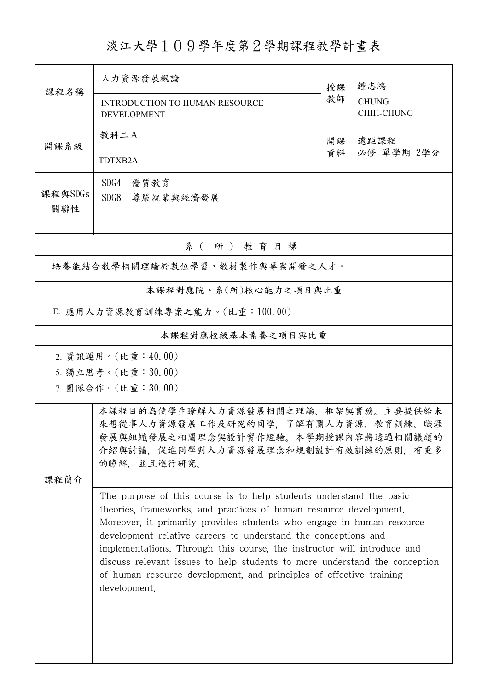淡江大學109學年度第2學期課程教學計畫表

| 課程名稱                                                                                                                                                                                                                                                                                                                                                                                                                                                                                                                                                                                                                                                                                                                     | 人力資源發展概論<br><b>INTRODUCTION TO HUMAN RESOURCE</b><br><b>DEVELOPMENT</b> | 授課<br>教師                       | 鍾志鴻<br><b>CHUNG</b><br><b>CHIH-CHUNG</b> |  |  |  |
|--------------------------------------------------------------------------------------------------------------------------------------------------------------------------------------------------------------------------------------------------------------------------------------------------------------------------------------------------------------------------------------------------------------------------------------------------------------------------------------------------------------------------------------------------------------------------------------------------------------------------------------------------------------------------------------------------------------------------|-------------------------------------------------------------------------|--------------------------------|------------------------------------------|--|--|--|
| 開課系級                                                                                                                                                                                                                                                                                                                                                                                                                                                                                                                                                                                                                                                                                                                     | 教科二A<br>TDTXB2A                                                         | 遠距課程<br>開課<br>資料<br>必修 單學期 2學分 |                                          |  |  |  |
| 課程與SDGs<br>關聯性                                                                                                                                                                                                                                                                                                                                                                                                                                                                                                                                                                                                                                                                                                           | SDG4<br>優質教育<br>SDG8 尊嚴就業與經濟發展                                          |                                |                                          |  |  |  |
| 系(所)教育目標                                                                                                                                                                                                                                                                                                                                                                                                                                                                                                                                                                                                                                                                                                                 |                                                                         |                                |                                          |  |  |  |
|                                                                                                                                                                                                                                                                                                                                                                                                                                                                                                                                                                                                                                                                                                                          | 培養能結合教學相關理論於數位學習、教材製作與專案開發之人才。                                          |                                |                                          |  |  |  |
|                                                                                                                                                                                                                                                                                                                                                                                                                                                                                                                                                                                                                                                                                                                          | 本課程對應院、系(所)核心能力之項目與比重                                                   |                                |                                          |  |  |  |
| E. 應用人力資源教育訓練專案之能力。(比重:100.00)                                                                                                                                                                                                                                                                                                                                                                                                                                                                                                                                                                                                                                                                                           |                                                                         |                                |                                          |  |  |  |
| 本課程對應校級基本素養之項目與比重                                                                                                                                                                                                                                                                                                                                                                                                                                                                                                                                                                                                                                                                                                        |                                                                         |                                |                                          |  |  |  |
| 2. 資訊運用。(比重:40.00)<br>5. 獨立思考。(比重:30.00)<br>7. 團隊合作。(比重:30.00)                                                                                                                                                                                                                                                                                                                                                                                                                                                                                                                                                                                                                                                           |                                                                         |                                |                                          |  |  |  |
| 本課程目的為使學生瞭解人力資源發展相關之理論、框架與實務。主要提供給未<br>來想從事人力資源發展工作及研究的同學,了解有關人力資源、教育訓練、職涯<br>發展與組織發展之相關理念與設計實作經驗。本學期授課內容將透過相關議題的<br>介紹與討論,促進同學對人力資源發展理念和規劃設計有效訓練的原則,有更多<br>的瞭解, 並且進行研究。<br>课程简介<br>The purpose of this course is to help students understand the basic<br>theories, frameworks, and practices of human resource development.<br>Moreover, it primarily provides students who engage in human resource<br>development relative careers to understand the conceptions and<br>implementations. Through this course, the instructor will introduce and<br>discuss relevant issues to help students to more understand the conception<br>of human resource development, and principles of effective training<br>development. |                                                                         |                                |                                          |  |  |  |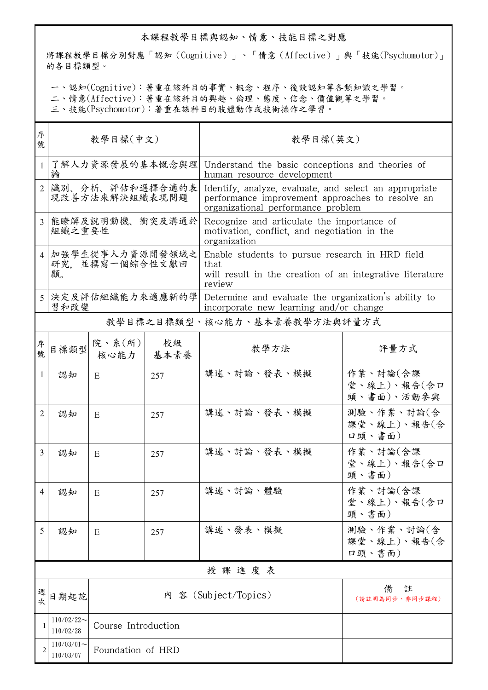## 本課程教學目標與認知、情意、技能目標之對應

將課程教學目標分別對應「認知(Cognitive)」、「情意(Affective)」與「技能(Psychomotor)」 的各目標類型。

一、認知(Cognitive):著重在該科目的事實、概念、程序、後設認知等各類知識之學習。

二、情意(Affective):著重在該科目的興趣、倫理、態度、信念、價值觀等之學習。

三、技能(Psychomotor):著重在該科目的肢體動作或技術操作之學習。

| 序<br>號         | 教學目標(中文)                                   |                     |            | 教學目標(英文)                                                                                                                                         |                                       |  |
|----------------|--------------------------------------------|---------------------|------------|--------------------------------------------------------------------------------------------------------------------------------------------------|---------------------------------------|--|
| $\mathbf{1}$   | 了解人力資源發展的基本慨念與理<br>論                       |                     |            | Understand the basic conceptions and theories of<br>human resource development                                                                   |                                       |  |
| $\overline{2}$ | 識別、分析、評估和選擇合適的表<br>現改善方法來解決組織表現問題          |                     |            | Identify, analyze, evaluate, and select an appropriate<br>performance improvement approaches to resolve an<br>organizational performance problem |                                       |  |
| 3              | 能瞭解及說明動機、衝突及溝通於<br>組織之重要性                  |                     |            | Recognize and articulate the importance of<br>motivation, conflict, and negotiation in the<br>organization                                       |                                       |  |
|                | 4 加強學生從事人力資源開發領域之<br>研究. 並撰寫一個綜合性文獻回<br>顧。 |                     |            | Enable students to pursue research in HRD field<br>that<br>will result in the creation of an integrative literature<br>review                    |                                       |  |
|                | 5 决定及評估組織能力來適應新的學<br>習和改變                  |                     |            | Determine and evaluate the organization's ability to<br>incorporate new learning and/or change                                                   |                                       |  |
|                |                                            |                     |            | 教學目標之目標類型、核心能力、基本素養教學方法與評量方式                                                                                                                     |                                       |  |
| 序號             | 目標類型                                       | 院、系(所)<br>核心能力      | 校級<br>基本素養 | 教學方法                                                                                                                                             | 評量方式                                  |  |
| 1              | 認知                                         | E                   | 257        | 講述、討論、發表、模擬                                                                                                                                      | 作業、討論(含課<br>堂、線上)、報告(含口<br>頭、書面)、活動參與 |  |
| 2              | 認知                                         | E                   | 257        | 講述、討論、發表、模擬                                                                                                                                      | 測驗、作業、討論(含<br>課堂、線上)、報告(含<br>口頭、書面)   |  |
| 3              | 認知                                         | E                   | 257        | 講述、討論、發表、模擬                                                                                                                                      | 作業、討論(含課<br>堂、線上)、報告(含口<br>頭、書面)      |  |
| 4              | 認知                                         | E                   | 257        | 講述、討論、體驗                                                                                                                                         | 作業、討論(含課<br>堂、線上)、報告(含口<br>頭、書面)      |  |
| 5              | 認知                                         | E                   | 257        | 講述、發表、模擬                                                                                                                                         | 測驗、作業、討論(含<br>課堂、線上)、報告(含<br>口頭、書面)   |  |
|                | 授課進度表                                      |                     |            |                                                                                                                                                  |                                       |  |
| 週次             | 日期起訖                                       |                     |            | 內 容 (Subject/Topics)                                                                                                                             | 備<br>註<br>(請註明為同步、非同步課程)              |  |
|                | $110/02/22$ ~<br>110/02/28                 | Course Introduction |            |                                                                                                                                                  |                                       |  |
|                | $110/03/01$ ~<br>110/03/07                 | Foundation of HRD   |            |                                                                                                                                                  |                                       |  |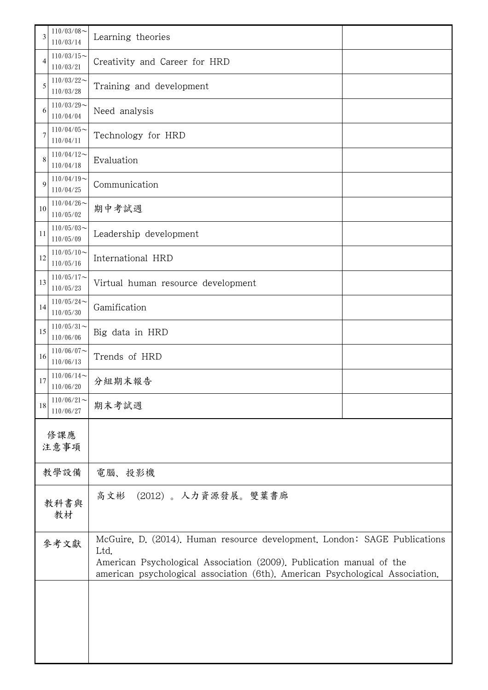| 3          | $110/03/08$ ~<br>110/03/14 | Learning theories                                                                                                                                                                                                                          |  |  |  |
|------------|----------------------------|--------------------------------------------------------------------------------------------------------------------------------------------------------------------------------------------------------------------------------------------|--|--|--|
| 4          | $110/03/15$ ~<br>110/03/21 | Creativity and Career for HRD                                                                                                                                                                                                              |  |  |  |
| 5          | $110/03/22$ ~<br>110/03/28 | Training and development                                                                                                                                                                                                                   |  |  |  |
| 6          | $110/03/29$ ~<br>110/04/04 | Need analysis                                                                                                                                                                                                                              |  |  |  |
| 7          | $110/04/05$ ~<br>110/04/11 | Technology for HRD                                                                                                                                                                                                                         |  |  |  |
| 8          | $110/04/12$ ~<br>110/04/18 | Evaluation                                                                                                                                                                                                                                 |  |  |  |
| 9          | $110/04/19$ ~<br>110/04/25 | Communication                                                                                                                                                                                                                              |  |  |  |
| 10         | $110/04/26$ ~<br>110/05/02 | 期中考試週                                                                                                                                                                                                                                      |  |  |  |
| 11         | $110/05/03$ ~<br>110/05/09 | Leadership development                                                                                                                                                                                                                     |  |  |  |
| 12         | $110/05/10$ ~<br>110/05/16 | International HRD                                                                                                                                                                                                                          |  |  |  |
| 13         | $110/05/17$ ~<br>110/05/23 | Virtual human resource development                                                                                                                                                                                                         |  |  |  |
| 14         | $110/05/24$ ~<br>110/05/30 | Gamification                                                                                                                                                                                                                               |  |  |  |
| 15         | $110/05/31$ ~<br>110/06/06 | Big data in HRD                                                                                                                                                                                                                            |  |  |  |
| 16         | $110/06/07$ ~<br>110/06/13 | Trends of HRD                                                                                                                                                                                                                              |  |  |  |
| 17         | $110/06/14$ ~<br>110/06/20 | 分組期末報告                                                                                                                                                                                                                                     |  |  |  |
| 18         | $110/06/21$ ~<br>110/06/27 | 期末考試週                                                                                                                                                                                                                                      |  |  |  |
|            | 修課應<br>注意事項                |                                                                                                                                                                                                                                            |  |  |  |
|            | 教學設備                       | 電腦、投影機                                                                                                                                                                                                                                     |  |  |  |
| 教科書與<br>教材 |                            | (2012)。 人力資源發展。雙葉書廊<br>高文彬                                                                                                                                                                                                                 |  |  |  |
| 參考文獻       |                            | McGuire, D. (2014). Human resource development. London: SAGE Publications<br>Ltd.<br>American Psychological Association (2009). Publication manual of the<br>american psychological association (6th). American Psychological Association. |  |  |  |
|            |                            |                                                                                                                                                                                                                                            |  |  |  |